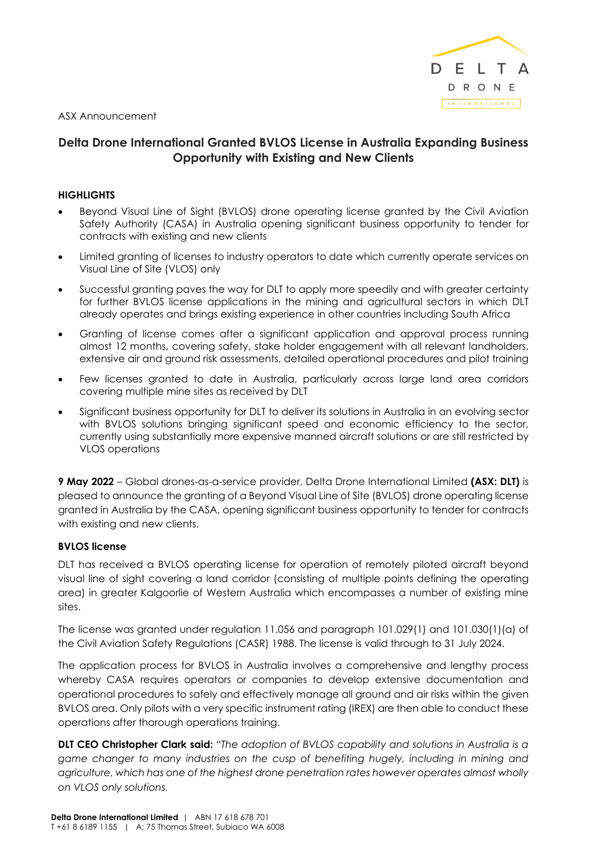

ASX Announcement

# **Delta Drone International Granted BVLOS License in Australia Expanding Business Opportunity with Existing and New Clients**

## **HIGHLIGHTS**

- Beyond Visual Line of Sight (BVLOS) drone operating license granted by the Civil Aviation Safety Authority (CASA) in Australia opening significant business opportunity to tender for contracts with existing and new clients
- Limited granting of licenses to industry operators to date which currently operate services on Visual Line of Site (VLOS) only
- Successful granting paves the way for DLT to apply more speedily and with greater certainty for further BVLOS license applications in the mining and agricultural sectors in which DLT already operates and brings existing experience in other countries including South Africa
- Granting of license comes after a significant application and approval process running almost 12 months, covering safety, stake holder engagement with all relevant landholders, extensive air and ground risk assessments, detailed operational procedures and pilot training
- Few licenses granted to date in Australia, particularly across large land area corridors covering multiple mine sites as received by DLT
- Significant business opportunity for DLT to deliver its solutions in Australia in an evolving sector with BVLOS solutions bringing significant speed and economic efficiency to the sector, currently using substantially more expensive manned aircraft solutions or are still restricted by VLOS operations

**9 May 2022** – Global drones-as-a-service provider, Delta Drone International Limited **(ASX: DLT)** is pleased to announce the granting of a Beyond Visual Line of Site (BVLOS) drone operating license granted in Australia by the CASA, opening significant business opportunity to tender for contracts with existing and new clients.

## **BVLOS license**

DLT has received a BVLOS operating license for operation of remotely piloted aircraft beyond visual line of sight covering a land corridor (consisting of multiple points defining the operating area) in greater Kalgoorlie of Western Australia which encompasses a number of existing mine sites.

The license was granted under regulation 11.056 and paragraph 101.029(1) and 101.030(1)(a) of the Civil Aviation Safety Regulations (CASR) 1988. The license is valid through to 31 July 2024.

The application process for BVLOS in Australia involves a comprehensive and lengthy process whereby CASA requires operators or companies to develop extensive documentation and operational procedures to safely and effectively manage all ground and air risks within the given BVLOS area. Only pilots with a very specific instrument rating (IREX) are then able to conduct these operations after thorough operations training.

**DLT CEO Christopher Clark said:** *"The adoption of BVLOS capability and solutions in Australia is a game changer to many industries on the cusp of benefiting hugely, including in mining and agriculture, which has one of the highest drone penetration rates however operates almost wholly on VLOS only solutions.*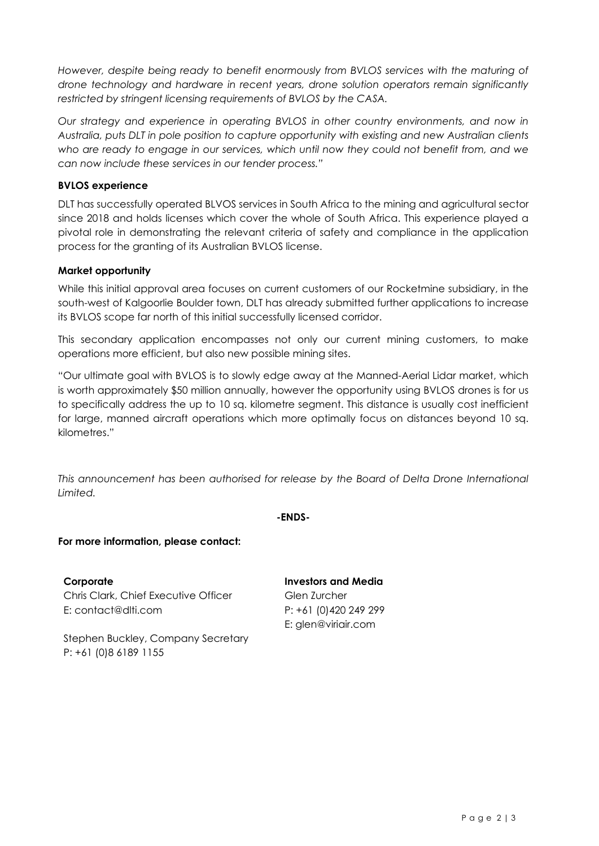*However, despite being ready to benefit enormously from BVLOS services with the maturing of drone technology and hardware in recent years, drone solution operators remain significantly restricted by stringent licensing requirements of BVLOS by the CASA.*

*Our strategy and experience in operating BVLOS in other country environments, and now in Australia, puts DLT in pole position to capture opportunity with existing and new Australian clients who are ready to engage in our services, which until now they could not benefit from, and we can now include these services in our tender process."*

## **BVLOS experience**

DLT has successfully operated BLVOS services in South Africa to the mining and agricultural sector since 2018 and holds licenses which cover the whole of South Africa. This experience played a pivotal role in demonstrating the relevant criteria of safety and compliance in the application process for the granting of its Australian BVLOS license.

## **Market opportunity**

While this initial approval area focuses on current customers of our Rocketmine subsidiary, in the south-west of Kalgoorlie Boulder town, DLT has already submitted further applications to increase its BVLOS scope far north of this initial successfully licensed corridor.

This secondary application encompasses not only our current mining customers, to make operations more efficient, but also new possible mining sites.

"Our ultimate goal with BVLOS is to slowly edge away at the Manned-Aerial Lidar market, which is worth approximately \$50 million annually, however the opportunity using BVLOS drones is for us to specifically address the up to 10 sq. kilometre segment. This distance is usually cost inefficient for large, manned aircraft operations which more optimally focus on distances beyond 10 sq. kilometres."

This announcement has been authorised for release by the Board of Delta Drone International *Limited.*

## **-ENDS-**

## **For more information, please contact:**

**Corporate** Chris Clark, Chief Executive Officer E: contact@dlti.com

**Investors and Media** Glen Zurcher P: +61 (0)420 249 299 E: glen@viriair.com

Stephen Buckley, Company Secretary P: +61 (0)8 6189 1155